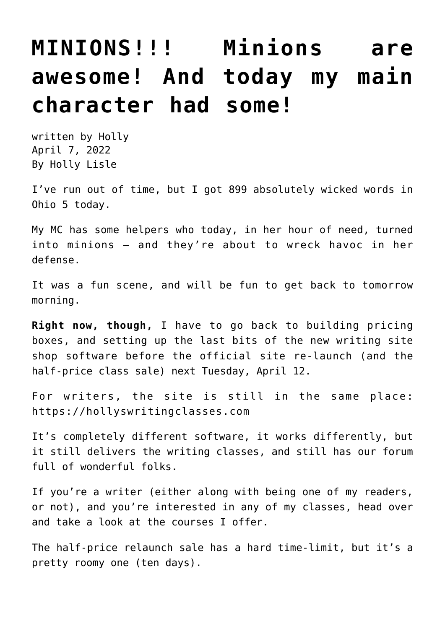## **[MINIONS!!! Minions are](https://hollylisle.com/minions-minions-are-awesome-and-today-my-main-character-had-some/) [awesome! And today my main](https://hollylisle.com/minions-minions-are-awesome-and-today-my-main-character-had-some/) [character had some!](https://hollylisle.com/minions-minions-are-awesome-and-today-my-main-character-had-some/)**

written by Holly April 7, 2022 [By Holly Lisle](https://hollylisle.com)

I've run out of time, but I got 899 absolutely wicked words in Ohio 5 today.

My MC has some helpers who today, in her hour of need, turned into minions — and they're about to wreck havoc in her defense.

It was a fun scene, and will be fun to get back to tomorrow morning.

**Right now, though,** I have to go back to building pricing boxes, and setting up the last bits of the new writing site shop software before the official site re-launch (and the half-price class sale) next Tuesday, April 12.

For writers, the site is still in the same place: <https://hollyswritingclasses.com>

It's completely different software, it works differently, but it still delivers the writing classes, and still has our forum full of wonderful folks.

If you're a writer (either along with being one of my readers, or not), and you're interested in any of my classes, head over and take a look at the courses I offer.

The half-price relaunch sale has a hard time-limit, but it's a pretty roomy one (ten days).